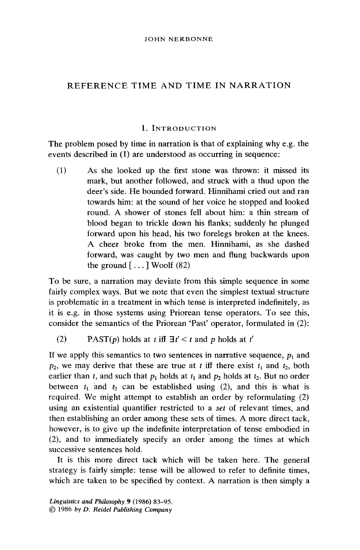# REFERENCE TIME AND TIME IN NARRATION

## 1. INTRODUCTION

The problem posed by time in narration is that of explaining why e.g. the events described in (1) are understood as occurring in sequence:

(1) As she looked up the first stone was thrown: it missed its mark, but another followed, and struck with a thud upon the deer's side. He bounded forward. Hinnihami cried out and ran towards him: at the sound of her voice he stopped and looked round. A shower of stones fell about him: a thin stream of blood began to trickle down his flanks; suddenly he plunged forward upon his head, his two forelegs broken at the knees. A cheer broke from the men. Hinnihami, as she dashed forward, was caught by two men and flung backwards upon the ground  $[\dots]$  Woolf (82)

To be sure, a narration may deviate from this simple sequence in some fairly complex ways. But we note that even the simplest textual structure is problematic in a treatment in which tense is interpreted indefinitely, as it is e.g. in those systems using Priorean tense operators. To see this, consider the semantics of the Priorean 'Past' operator, formulated in (2):

(2) PAST(p) holds at *t* iff  $\exists t' \le t$  and p holds at *t'* 

If we apply this semantics to two sentences in narrative sequence,  $p_1$  and  $p_2$ , we may derive that these are true at t iff there exist  $t_1$  and  $t_2$ , both earlier than t, and such that  $p_1$  holds at  $t_1$  and  $p_2$  holds at  $t_2$ . But no order between  $t_1$  and  $t_2$  can be established using (2), and this is what is required. We might attempt to establish an order by reformulating (2) using an existential quantifier restricted to a *set* of relevant times, and then establishing an order among these sets of times. A more direct tack, however, is to give up the indefinite interpretation of tense embodied in (2), and to immediately specify an order among the times at which successive sentences hold.

It is this more direct tack which will be taken here. The general strategy is fairly simple: tense will be allowed to refer to definite times, which are taken to be specified by context. A narration is then simply a

*Linguistics and Philosophy* 9 (1986) 83-95. (~) 1986 *by D. Reidel Publishing Company*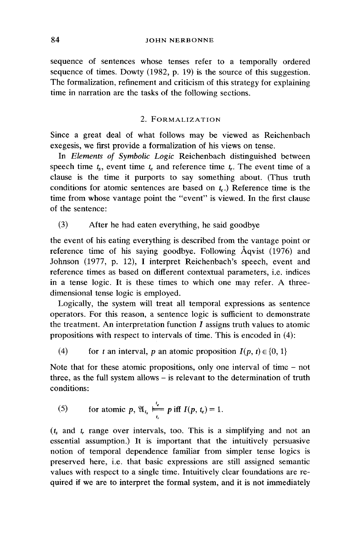sequence of sentences whose tenses refer to a temporally ordered sequence of times. Dowty (1982, p. 19) is the source of this suggestion. The formalization, refinement and criticism of this strategy for explaining time in narration are the tasks of the following sections.

## 2. FORMALIZATION

Since a great deal of what follows may be viewed as Reichenbach exegesis, we first provide a formalization of his views on tense.

In *Elements of Symbolic Logic* Reichenbach distinguished between speech time  $t_s$ , event time  $t_e$  and reference time  $t_r$ . The event time of a clause is the time it purports to say something about. (Thus truth conditions for atomic sentences are based on  $t_e$ .) Reference time is the time from whose vantage point the "event" is viewed. In the first clause of the sentence:

(3) After he had eaten everything, he said goodbye

the event of his eating everything is described from the vantage point or reference time of his saying goodbye. Following Aqvist (1976) and Johnson (1977, p. 12), I interpret Reichenbach's speech, event and reference times as based on different contextual parameters, i.e. indices in a tense logic. It is these times to which one may refer. A threedimensional tense logic is employed.

Logically, the system will treat all temporal expressions as sentence operators. For this reason, a sentence logic is sufficient to demonstrate the treatment. An interpretation function  $I$  assigns truth values to atomic propositions with respect to intervals of time. This is encoded in (4):

(4) for t an interval, p an atomic proposition  $I(p, t) \in \{0, 1\}$ 

Note that for these atomic propositions, only one interval of time – not three, as the full system allows - is relevant to the determination of truth conditions:

(5) for atomic 
$$
p
$$
,  $\mathfrak{A}_{t_s} \xrightarrow[t_r]{t_e} p$  iff  $I(p, t_e) = 1$ .

 $(t<sub>s</sub>$  and  $t<sub>r</sub>$  range over intervals, too. This is a simplifying and not an essential assumption.) It is important that the intuitively persuasive notion of temporal dependence familiar from simpler tense logics is preserved here, i.e. that basic expressions are still assigned semantic values with respect to a single time. Intuitively clear foundations are required if we are to interpret the formal system, and it is not immediately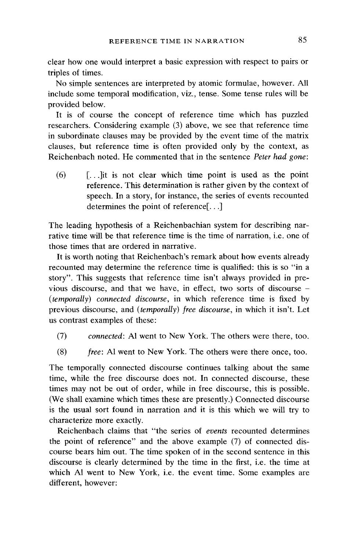clear how one would interpret a basic expression with respect to pairs or triples of times.

No simple sentences are interpreted by atomic formulae, however. All include some temporal modification, viz., tense. Some tense rules will be provided below.

It is of course the concept of reference time which has puzzled researchers. Considering example (3) above, we see that reference time in subordinate clauses may be provided by the event time of the matrix clauses, but reference time is often provided only by the context, as Reichenbach noted. He commented that in the sentence *Peter had gone:* 

 $(6)$  [...] it is not clear which time point is used as the point reference. This determination is rather given by the context of speech. In a story, for instance, the series of events recounted determines the point of reference[...]

The leading hypothesis of a Reichenbachian system for describing narrative time will be that reference time is the time of narration, i.e. one of those times that are ordered in narrative.

It is worth noting that Reichenbach's remark about how events already recounted may determine the reference time is qualified: this is so "in a story". This suggests that reference time isn't always provided in previous discourse, and that we have, in effect, two sorts of discourse - *(temporally) connected discourse,* in which reference time is fixed by previous discourse, and *(temporally) free discourse,* in which it isn't. Let us contrast examples of these:

- (7) *connected:* A1 went to New York. The others were there, too.
- (8) *free:* A1 went to New York. The others were there once, too.

The temporally connected discourse continues talking about the same time, while the free discourse does not. In connected discourse, these times may not be out of order, while in free discourse, this is possible. (We shall examine which times these are presently.) Connected discourse is the usual sort found in narration and it is this which we will try to characterize more exactly.

Reichenbach claims that "the series of *events* recounted determines the point of reference" and the above example (7) of connected discourse bears him out. The time spoken of in the second sentence in this discourse is clearly determined by the time in the first, i.e. the time at which A1 went to New York, i.e. the event time. Some examples are different, however: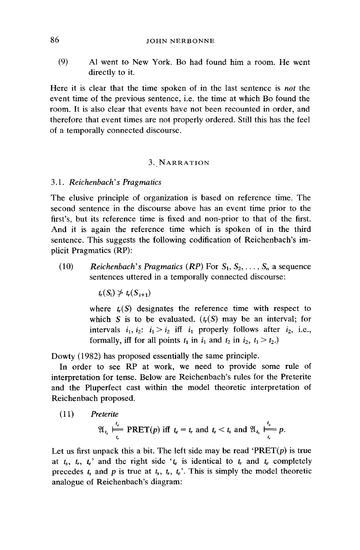(9) A1 went to New York. Bo had found him a room. He went directly to it.

Here it is clear that the time spoken of in the last sentence is *not* the event time of the previous sentence, i.e. the time at which Bo found the room. It is also clear that events have not been recounted in order, and therefore that event times are not properly ordered. Still this has the feel of a temporally connected discourse.

#### 3. NARRATION

## *3.1. Reichenbach' s Pragmatics*

The elusive principle of organization is based on reference time. The second sentence in the discourse above has an event time prior to the first's, but its reference time is fixed and non-prior to that of the first. And it is again the reference time which is spoken of in the third sentence. This suggests the following codification of Reichenbach's implicit Pragmatics (RP):

(10) *Reichenbach's Pragmatics (RP)* For  $S_1, S_2, \ldots, S_n$  a sequence sentences uttered in a temporally connected discourse:

 $t_r(S_i) \not\geq t_r(S_{i+1})$ 

where  $t_r(S)$  designates the reference time with respect to which S is to be evaluated.  $(t_r(S)$  may be an interval; for intervals  $i_1, i_2$ :  $i_1 > i_2$  iff  $i_1$  properly follows after  $i_2$ , i.e., formally, iff for all points  $t_1$  in  $i_1$  and  $t_2$  in  $i_2$ ,  $t_1 > t_2$ .)

Dowty (1982) has proposed essentially the same principle.

In order to see RP at work, we need to provide some rule of interpretation for tense. Below are Reichenbach's rules for the Preterite and the Pluperfect cast within the model theoretic interpretation of Reichenbach proposed.

(11) *Preterite*  

$$
\mathfrak{A}_{t_s} \xrightarrow[t_{\epsilon}]{t_e} \text{PRET}(p) \text{ iff } t_e = t_r \text{ and } t_e < t_s \text{ and } \mathfrak{A}_{t_s} \xrightarrow[t_{\epsilon}]{t_e} p.
$$

Let us first unpack this a bit. The left side may be read ' $PRET(p)$  is true at  $t_s$ ,  $t_r$ ,  $t_e'$  and the right side ' $t_e$  is identical to  $t_r$  and  $t_e$  completely precedes  $t_s$  and p is true at  $t_s$ ,  $t_r$ ,  $t_e$ . This is simply the model theoretic analogue of Reichenbach's diagram: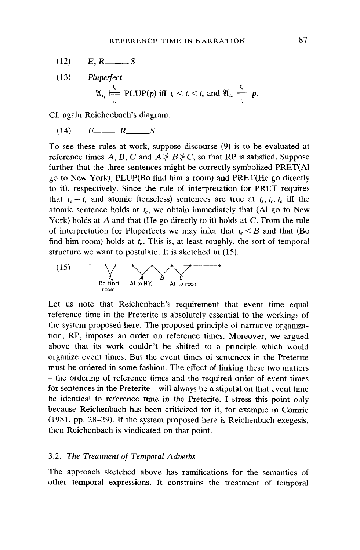$(12)$  E, R<sub>— $\sim$ S</sub>

(13) *Pluperfect*  

$$
\mathfrak{A}_{t_s} \xrightarrow[t_{t}]{t_e} \text{PLUP}(p) \text{ iff } t_e < t_r < t_s \text{ and } \mathfrak{A}_{t_s} \xrightarrow[t_{t}]{t_e} p.
$$

Cf. again Reichenbach's diagram:

 $(14)$   $E_{\text{max}}R_{\text{max}}S$ 

To see these rules at work, suppose discourse (9) is to be evaluated at reference times A, B, C and  $A \neq B \neq C$ , so that RP is satisfied. Suppose further that the three sentences might be correctly symbolized PRET(A1 go to New York), PLUP(Bo find him a room) and PRET(He go directly to it), respectively. Since the rule of interpretation for PRET requires that  $t_e = t_r$  and atomic (tenseless) sentences are true at  $t_s$ ,  $t_r$ ,  $t_e$  iff the atomic sentence holds at  $t_{e}$ , we obtain immediately that (Al go to New York) holds at A and that (He go directly to it) holds at C. From the rule of interpretation for Pluperfects we may infer that  $t_e \leq B$  and that (Bo find him room) holds at  $t_{e}$ . This is, at least roughly, the sort of temporal structure we want to postulate. It is sketched in (15).

Bo find AI to N.Y. AI to room room

Let us note that Reichenbach's requirement that event time equal reference time in the Preterite is absolutely essential to the workings of the system proposed here. The proposed principle of narrative organization, RP, imposes an order on reference times. Moreover, we argued above that its work couldn't be shifted to a principle which would organize event times. But the event times of sentences in the Preterite must be ordered in some fashion. The effect of linking these two matters **-** the ordering of reference times and the required order of event times for sentences in the Preterite - will always be a stipulation that event time be identical to reference time in the Preterite. I stress this point only because Reichenbach has been criticized for it, for example in Comrie (1981, pp. 28-29). If the system proposed here is Reichenbach exegesis, then Reichenbach is vindicated on that point.

### 3.2. *The Treatment of Temporal Adverbs*

The approach sketched above has ramifications for the semantics of other temporal expressions. It constrains the treatment of temporal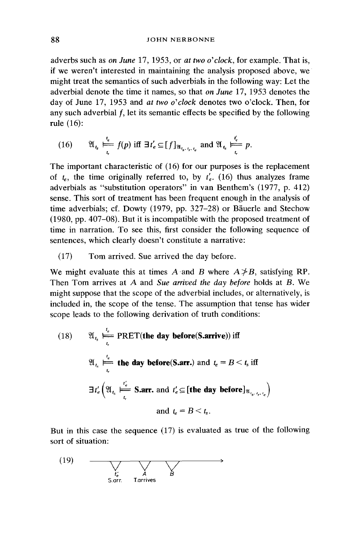adverbs such as *on June* 17, 1953, or *at two o'clock,* for example. That is, if we weren't interested in maintaining the analysis proposed above, we might treat the semantics of such adverbials in the following way: Let the adverbial denote the time it names, so that *on June* 17, 1953 denotes the day of June 17, 1953 and *at two o'clock* denotes two o'clock. Then, for any such adverbial  $f$ , let its semantic effects be specified by the following rule (16):

(16) 
$$
\mathfrak{A}_{t_s} \models_{t_s}^{t_e} f(p) \text{ iff } \exists t'_e \subseteq [f]_{\mathfrak{A}_{t_s,t_r,t_e}}
$$
 and  $\mathfrak{A}_{t_s} \models_{t_s}^{t'_e} p$ .

The important characteristic of (16) for our purposes is the replacement of  $t_e$ , the time originally referred to, by  $t'_e$ . (16) thus analyzes frame adverbials as "substitution operators" in van Benthem's (1977, p. 412) sense. This sort of treatment has been frequent enough in the analysis of time adverbials; cf. Dowty  $(1979, pp. 327-28)$  or Bäuerle and Stechow (1980, pp. 407-08). But it is incompatible with the proposed treatment of time in narration. To see this, first consider the following sequence of sentences, which clearly doesn't constitute a narrative:

(17) Tom arrived. Sue arrived the day before.

We might evaluate this at times  $A$  and  $B$  where  $A \neq B$ , satisfying RP. Then Tom arrives at A and *Sue arrived the day before* holds at B. We might suppose that the scope of the adverbial includes, or alternatively, is included in, the scope of the tense. The assumption that tense has wider scope leads to the following derivation of truth conditions:

(18) 
$$
\mathfrak{A}_{t_s} \xrightarrow{t_e}
$$
 PRET(**the day before(Sarrive**)) iff  
\n $\mathfrak{A}_{t_s} \xrightarrow{t_e}$  **the day before(Sarr.)** and  $t_e = B < t_s$  iff  
\n $\exists t'_e \left( \mathfrak{A}_{t_s} \xrightarrow{t'_e} \mathbf{S} \cdot \mathbf{arr.}$  and  $t'_e \subseteq [\text{the day before}]_{\mathfrak{A}_{t_s, t_r, t_e}} \right)$   
\nand  $t_e = B < t_s$ .

But in this case the sequence (17) is evaluated as true of the following sort of situation:

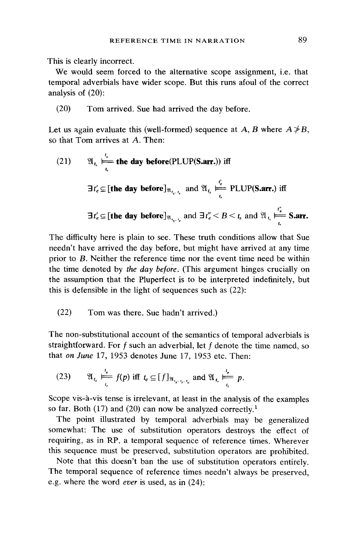This is clearly incorrect.

We would seem forced to the alternative scope assignment, i.e. that temporal adverbials have wider scope. But this runs afoul of the correct analysis of (20):

(20) Tom arrived. Sue had arrived the day before.

Let us again evaluate this (well-formed) sequence at A, B where  $A \neq B$ , so that Tom arrives at A. Then:

(21) 
$$
\mathfrak{A}_{t_s} \xrightarrow{t_e}
$$
 the day before(PLUP(S.arr.)) iff  
\n $\exists t'_e \subseteq [\text{the day before}]_{\mathfrak{A}_{t_s,t_r}}$  and  $\mathfrak{A}_{t_s} \xrightarrow{t'_e}$  PLUP(S.arr.) iff  
\n $\exists t'_e \subseteq [\text{the day before}]_{\mathfrak{A}_{t_s,t_r}}$  and  $\exists t''_e < B < t_s$  and  $\mathfrak{A}_{t_s} \xrightarrow{t''_e}$  S.arr.

The difficulty here is plain to see. These truth conditions allow that Sue needn't have arrived the day before, but might have arrived at any time prior to B. Neither the reference time nor the event time need be within the time denoted by *the day before.* (This argument hinges crucially on the assumption that the Pluperfect is to be interpreted indefinitely, but this is defensible in the light of sequences such as (22):

(22) Tom was there. Sue hadn't arrived.)

The non-substitutional account of the semantics of temporal adverbials is straightforward. For  $f$  such an adverbial, let  $f$  denote the time named, so that *on June* 17, 1953 denotes June 17, 1953 etc. Then:

(23) 
$$
\mathfrak{A}_{t_s} \underset{t_r}{\overset{t_e}{\rightleftharpoons}} f(p) \text{ iff } t_e \subseteq [f]_{\mathfrak{A}_{t_s,t_r,t_e}} \text{ and } \mathfrak{A}_{t_s} \underset{t_r}{\overset{t_e}{\rightleftharpoons}} p.
$$

Scope vis-à-vis tense is irrelevant, at least in the analysis of the examples so far. Both  $(17)$  and  $(20)$  can now be analyzed correctly.<sup>1</sup>

The point illustrated by temporal adverbials may be generalized somewhat: The use of substitution operators destroys the effect of requiring, as in RP, a temporal sequence of reference times. Wherever this sequence must be preserved, substitution operators are prohibited.

Note that this doesn't ban the use of substitution operators entirely. The temporal sequence of reference times needn't always be preserved, e.g. where the word *ever* is used, as in (24):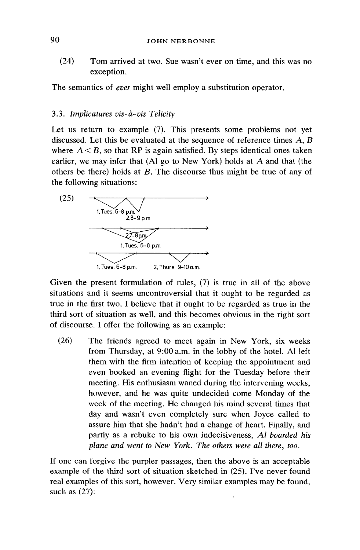(24) Tom arrived at two. Sue wasn't ever on time, and this was no exception.

The semantics of *ever* might well employ a substitution operator.

#### 3.3. *Implicatures vis-à-vis Telicity*

Let us return to example (7). This presents some problems not yet discussed. Let this be evaluated at the sequence of reference times  $A, B$ where  $A \leq B$ , so that RP is again satisfied. By steps identical ones taken earlier, we may infer that (A1 go to New York) holds at A and that (the others be there) holds at B. The discourse thus might be true of any of the following situations:



Given the present formulation of rules, (7) is true in all of the above situations and it seems uncontroversial that it ought to be regarded as true in the first two. I believe that it ought to be regarded as true in the third sort of situation as well, and this becomes obvious in the right sort of discourse. I offer the following as an example:

(26) The friends agreed to meet again in New York, six weeks from Thursday, at 9:00 a.m. in the lobby of the hotel. A1 left them with the firm intention of keeping the appointment and even booked an evening flight for the Tuesday before their meeting. His enthusiasm waned during the intervening weeks, however, and he was quite undecided come Monday of the week of the meeting. He changed his mind several times that day and wasn't even completely sure when Joyce called to assure him that she hadn't had a change of heart. Finally, and partly as a rebuke to his own indecisiveness, *Al boarded his plane and went to New York. The others were all there, too.* 

If one can forgive the purpler passages, then the above is an acceptable example of the third sort of situation sketched in (25). I've never found real examples of this sort, however. Very similar examples may be found, such as (27):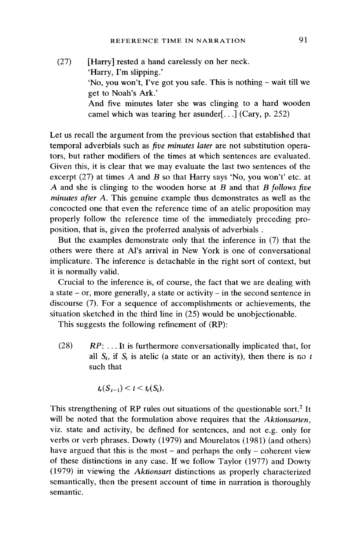(27) [Harry] rested a hand carelessly on her neck. 'Harry, I'm slipping.' 'No, you won't, I've got you safe. This is nothing - wait till we get to Noah's Ark.' And five minutes later she was clinging to a hard wooden camel which was tearing her asunder[...] (Cary, p. 252)

Let us recall the argument from the previous section that established that temporal adverbials such as *five minutes later* are not substitution operators, but rather modifiers of the times at which sentences are evaluated. Given this, it is clear that we may evaluate the last two sentences of the excerpt  $(27)$  at times A and B so that Harry says 'No, you won't' etc. at A and she is clinging to the wooden horse at B and that *B follows five minutes after A.* This genuine example thus demonstrates as well as the concocted one that even the reference time of an atelic proposition may properly follow the reference time of the immediately preceding proposition, that is, given the proferred analysis of adverbials.

But the examples demonstrate only that the inference in (7) that the others were there at Al's arrival in New York is one of conversational implicature. The inference is detachable in the right sort of context, but it is normally valid.

Crucial to the inference is, of course, the fact that we are dealing with a state - or, more generally, a state or activity - in the second sentence in discourse (7). For a sequence of accomplishments or achievements, the situation sketched in the third line in (25) would be unobjectionable.

This suggests the following refinement of (RP):

(28) *RP: ...* It is furthermore conversationally implicated that, for all  $S_i$ , if  $S_i$  is atelic (a state or an activity), then there is no t such that

$$
t_r(S_{i-1}) < t < t_r(S_i).
$$

This strengthening of RP rules out situations of the questionable sort.<sup>2</sup> It will be noted that the formulation above requires that the *Aktionsarten,*  viz. state and activity, be defined for sentences, and not e.g. only for verbs or verb phrases. Dowty (1979) and Mourelatos (1981) (and others) have argued that this is the most - and perhaps the only - coherent view of these distinctions in any case. If we follow Taylor (1977) and Dowty (1979) in viewing the *Aktionsart* distinctions as properly characterized semantically, then the present account of time in narration is thoroughly semantic.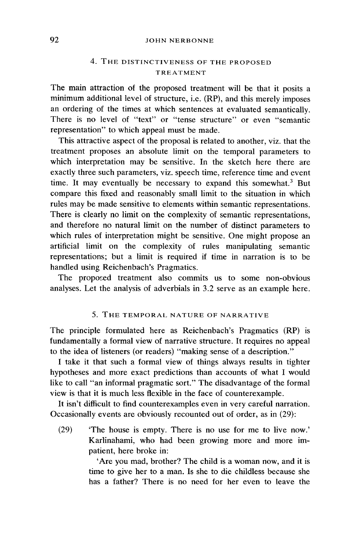#### 92 JOHN NERBONNE

# 4. THE DISTINCTIVENESS OF THE PROPOSED TREATMENT

The main attraction of the proposed treatment will be that it posits a minimum additional level of structure, i.e. (RP), and this merely imposes an ordering of the times at which sentences at evaluated semantically. There is no level of "text" or "tense structure" or even "semantic representation" to which appeal must be made.

This attractive aspect of the proposal is related to another, viz. that the treatment proposes an absolute limit on the temporal parameters to which interpretation may be sensitive. In the sketch here there are exactly three such parameters, viz. speech time, reference time and event time. It may eventually be necessary to expand this somewhat.<sup>3</sup> But compare this fixed and reasonably small limit to the situation in which rules may be made sensitive to elements within semantic representations. There is clearly no limit on the complexity of semantic representations, and therefore no natural limit on the number of distinct parameters to which rules of interpretation might be sensitive. One might propose an artificial limit on the complexity of rules manipulating semantic representations; but a limit is required if time in narration is to be handled using Reichenbach's Pragmatics.

The proposed treatment also commits us to some non-obvious analyses. Let the analysis of adverbials in 3.2 serve as an example here.

#### 5. THE TEMPORAL NATURE OF NARRATIVE

The principle formulated here as Reichenbach's Pragmatics (RP) is fundamentally a formal view of narrative structure. It requires no appeal to the idea of listeners (or readers) "making sense of a description."

I take it that such a formal view of things always results in tighter hypotheses and more exact predictions than accounts of what I would like to call "an informal pragmatic sort." The disadvantage of the formal view is that it is much less flexible in the face of counterexample.

It isn't difficult to find counterexamples even in very careful narration. Occasionally events are obviously recounted out of order, as in (29):

(29) 'The house is empty. There is no use for me to live now.' Karlinahami, who had been growing more and more impatient, here broke in:

> 'Are you mad, brother? The child is a woman now, and it is time to give her to a man. Is she to die childless because she has a father? There is no need for her even to leave the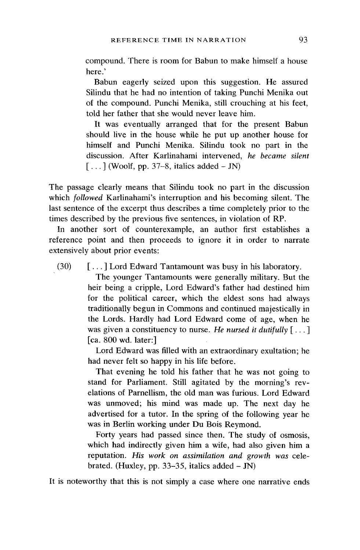compound. There is room for Babun to make himself a house here.'

Babun eagerly seized upon this suggestion. He assured Silindu that he had no intention of taking Punchi Menika out of the compound. Punchi Menika, still crouching at his feet, told her father that she would never leave him.

It was eventually arranged that for the present Babun should live in the house while he put up another house for himself and Punchi Menika. Silindu took no part in the discussion. After Karlinahami intervened, *he became silent*   $[\dots]$  (Woolf, pp. 37–8, italics added – JN)

The passage clearly means that Silindu took no part in the discussion which *followed* Karlinahami's interruption and his becoming silent. The last sentence of the excerpt thus describes a time completely prior to the times described by the previous five sentences, in violation of RP.

In another sort of counterexample, an author first establishes a reference point and then proceeds to ignore it in order to narrate extensively about prior events:

(30) [... ] Lord Edward Tantamount was busy in his laboratory.

The younger Tantamounts were generally military. But the heir being a cripple, Lord Edward's father had destined him for the political career, which the eldest sons had always traditionally begun in Commons and continued majestically in the Lords. Hardly had Lord Edward come of age, when he was given a constituency to nurse. *He nursed it dutifully [... ]*  [ca. 800 wd. later:]

Lord Edward was filled with an extraordinary exultation; he had never felt so happy in his life before.

That evening he told his father that he was not going to stand for Parliament. Still agitated by the morning's revelations of Parnellism, the old man was furious. Lord Edward was unmoved; his mind was made up. The next day he advertised for a tutor. In the spring of the following year he was in Berlin working under Du Bois Reymond.

Forty years had passed since then. The study of osmosis, which had indirectly given him a wife, had also given him a reputation. *His work on assimilation and growth was* celebrated. (Huxley, pp. 33-35, italics added - JN)

It is noteworthy that this is not simply a case where one narrative ends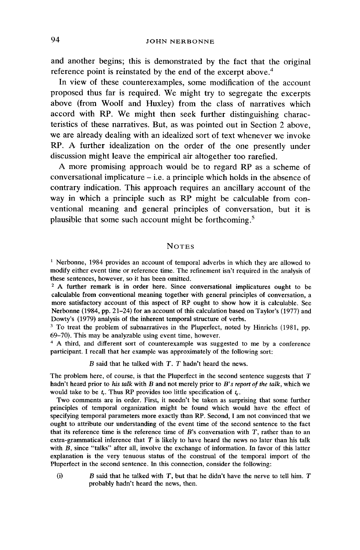**and another begins; this is demonstrated by the fact that the original reference point is reinstated by the end of the excerpt above. 4** 

**In view of these counterexamples, some modification of the account proposed thus far is required. We might try to segregate the excerpts above (from Woolf and Huxley) from the class of narratives which accord with RP. We might then seek further distinguishing characteristics of these narratives. But, as was pointed out in Section 2 above, we are already dealing with an idealized sort of text whenever we invoke RP. A further idealization on the order of the one presently under discussion might leave the empirical air altogether too rarefied.** 

**A more promising approach would be to regard RP as a scheme of conversational implicature - i.e. a principle which holds in the absence of contrary indication. This approach requires an ancillary account of the way in which a principle such as RP might be calculable from conventional meaning and general principles of conversation, but it is plausible that some such account might be forthcoming. 5** 

#### **NOTES**

<sup> $1$ </sup> Nerbonne, 1984 provides an account of temporal adverbs in which they are allowed to modify either event time or reference time. The refinement isn't required in the analysis of these sentences, however, so it has been omitted.

<sup>2</sup> A further remark is in order here. Since conversational implicatures ought to be calculable from conventional meaning together with general principles of conversation, a more satisfactory account of this aspect of RP ought to show how it is calculable. See Nerbonne (1984, pp. 21-24) for an account of this calculation based on Taylor's (1977) and Dowty's (1979) analysis of the inherent temporal structure of verbs.

 $3$  To treat the problem of subnarratives in the Pluperfect, noted by Hinrichs (1981, pp. 69-70). This may be analyzable using event time, however.

4 A third, and different sort of counterexample was suggested to me by a conference participant. I recall that her example was approximately of the following sort:

 $B$  said that he talked with  $T$ .  $T$  hadn't heard the news.

The problem here, of course, is that the Pluperfect in the second sentence suggests that  $T$ hadn't heard prior to *his talk* with B and not merely prior to *B's report of the talk,* which we would take to be  $t_r$ . Thus RP provides too little specification of  $t_e$ .

Two comments are in order. First, it needn't be taken as surprising that some further principles of temporal organization might be found which would have the effect of specifying temporal parameters more exactly than RP. Second, I am not convinced that we ought to attribute our understanding of the event time of the second sentence to the fact that its reference time is the reference time of  $B$ 's conversation with  $T$ , rather than to an extra-grammatical inference that  $T$  is likely to have heard the news no later than his talk with  $B$ , since "talks" after all, involve the exchange of information. In favor of this latter explanation is the very tenuous status of the construal of the temporal import of the Pluperfect in the second sentence. In this connection, consider the following:

(i)  $B$  said that he talked with  $T$ , but that he didn't have the nerve to tell him.  $T$ probably hadn't heard the news, then.